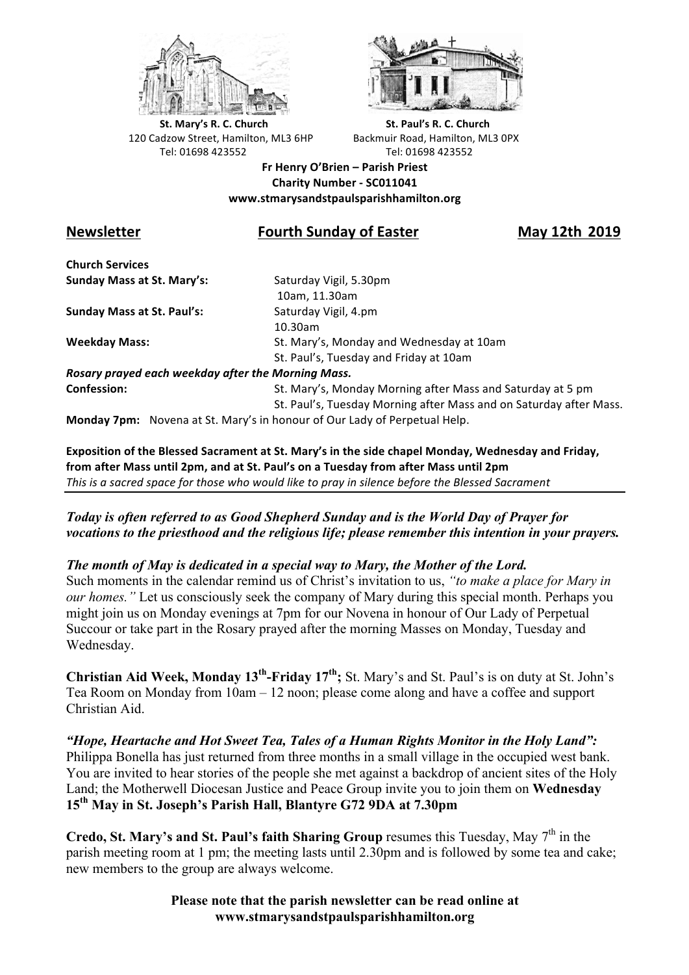



**St.** Mary's R. C. Church St. Paul's R. C. Church 120 Cadzow Street, Hamilton, ML3 6HP Backmuir Road, Hamilton, ML3 0PX Tel: 01698 423552 Tel: 01698 423552

**Fr Henry O'Brien – Parish Priest Charity Number - SC011041 www.stmarysandstpaulsparishhamilton.org**

## **Newsletter Fourth Sunday of Easter May 12th 2019**

**Church Services Sunday Mass at St. Mary's:** Saturday Vigil, 5.30pm

**Sunday Mass at St. Paul's:** Saturday Vigil, 4.pm

 10am, 11.30am 10.30am **Weekday Mass:** St. Mary's, Monday and Wednesday at 10am St. Paul's, Tuesday and Friday at 10am

*Rosary prayed each weekday after the Morning Mass.* **Confession:** St. Mary's, Monday Morning after Mass and Saturday at 5 pm

St. Paul's, Tuesday Morning after Mass and on Saturday after Mass.

**Monday 7pm:** Novena at St. Mary's in honour of Our Lady of Perpetual Help.

Exposition of the Blessed Sacrament at St. Mary's in the side chapel Monday, Wednesday and Friday, from after Mass until 2pm, and at St. Paul's on a Tuesday from after Mass until 2pm This is a sacred space for those who would like to pray in silence before the Blessed Sacrament

*Today is often referred to as Good Shepherd Sunday and is the World Day of Prayer for vocations to the priesthood and the religious life; please remember this intention in your prayers.*

*The month of May is dedicated in a special way to Mary, the Mother of the Lord.*

Such moments in the calendar remind us of Christ's invitation to us, *"to make a place for Mary in our homes.*" Let us consciously seek the company of Mary during this special month. Perhaps you might join us on Monday evenings at 7pm for our Novena in honour of Our Lady of Perpetual Succour or take part in the Rosary prayed after the morning Masses on Monday, Tuesday and Wednesday.

**Christian Aid Week, Monday 13<sup>th</sup>-Friday 17<sup>th</sup>; St. Mary's and St. Paul's is on duty at St. John's** Tea Room on Monday from 10am – 12 noon; please come along and have a coffee and support Christian Aid.

*"Hope, Heartache and Hot Sweet Tea, Tales of a Human Rights Monitor in the Holy Land":* Philippa Bonella has just returned from three months in a small village in the occupied west bank. You are invited to hear stories of the people she met against a backdrop of ancient sites of the Holy Land; the Motherwell Diocesan Justice and Peace Group invite you to join them on **Wednesday 15th May in St. Joseph's Parish Hall, Blantyre G72 9DA at 7.30pm** 

**Credo, St. Mary's and St. Paul's faith Sharing Group** resumes this Tuesday, May  $7<sup>th</sup>$  in the parish meeting room at 1 pm; the meeting lasts until 2.30pm and is followed by some tea and cake; new members to the group are always welcome.

> **Please note that the parish newsletter can be read online at www.stmarysandstpaulsparishhamilton.org**